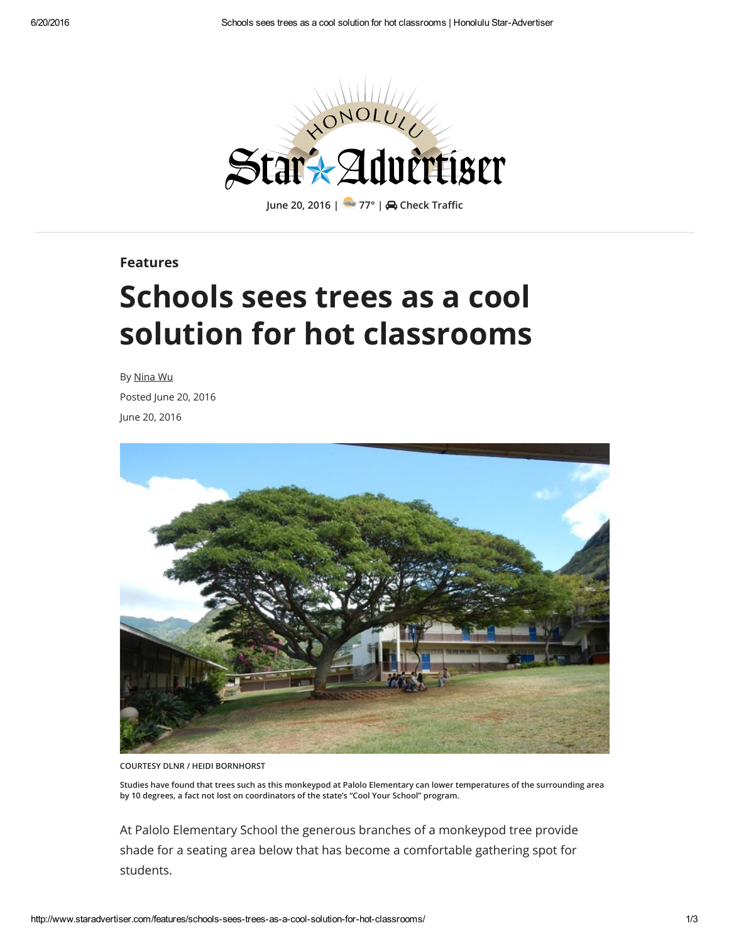

[Features](http://www.staradvertiser.com/category/features/)

## Schools sees trees as a cool solution for hot classrooms

By [Nina](http://www.staradvertiser.com/author/nwu/) Wu Posted June 20, 2016 June 20, 2016



COURTESY DLNR / HEIDI BORNHORST

Studies have found that trees such as this monkeypod at Palolo Elementary can lower temperatures of the surrounding area by 10 degrees, a fact not lost on coordinators of the state's "Cool Your School" program.

At Palolo Elementary School the generous branches of a monkeypod tree provide shade for a seating area below that has become a comfortable gathering spot for students.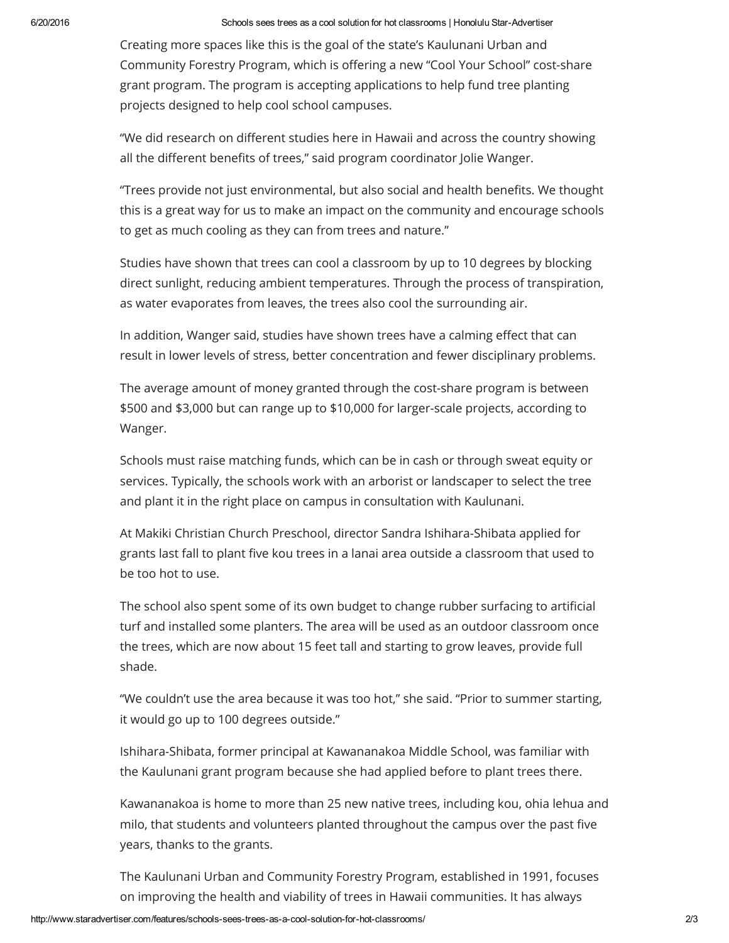## 6/20/2016 Schools sees trees as a cool solution for hot classrooms | Honolulu Star-Advertiser

Creating more spaces like this is the goal of the state's Kaulunani Urban and Community Forestry Program, which is offering a new "Cool Your School" cost-share grant program. The program is accepting applications to help fund tree planting projects designed to help cool school campuses.

"We did research on different studies here in Hawaii and across the country showing all the different benefits of trees," said program coordinator Jolie Wanger.

"Trees provide not just environmental, but also social and health benefits. We thought this is a great way for us to make an impact on the community and encourage schools to get as much cooling as they can from trees and nature."

Studies have shown that trees can cool a classroom by up to 10 degrees by blocking direct sunlight, reducing ambient temperatures. Through the process of transpiration, as water evaporates from leaves, the trees also cool the surrounding air.

In addition, Wanger said, studies have shown trees have a calming effect that can result in lower levels of stress, better concentration and fewer disciplinary problems.

The average amount of money granted through the cost-share program is between \$500 and \$3,000 but can range up to \$10,000 for larger-scale projects, according to Wanger.

Schools must raise matching funds, which can be in cash or through sweat equity or services. Typically, the schools work with an arborist or landscaper to select the tree and plant it in the right place on campus in consultation with Kaulunani.

At Makiki Christian Church Preschool, director Sandra Ishihara-Shibata applied for grants last fall to plant five kou trees in a lanai area outside a classroom that used to be too hot to use.

The school also spent some of its own budget to change rubber surfacing to artificial turf and installed some planters. The area will be used as an outdoor classroom once the trees, which are now about 15 feet tall and starting to grow leaves, provide full shade.

"We couldn't use the area because it was too hot," she said. "Prior to summer starting, it would go up to 100 degrees outside."

Ishihara-Shibata, former principal at Kawananakoa Middle School, was familiar with the Kaulunani grant program because she had applied before to plant trees there.

Kawananakoa is home to more than 25 new native trees, including kou, ohia lehua and milo, that students and volunteers planted throughout the campus over the past five years, thanks to the grants.

The Kaulunani Urban and Community Forestry Program, established in 1991, focuses on improving the health and viability of trees in Hawaii communities. It has always